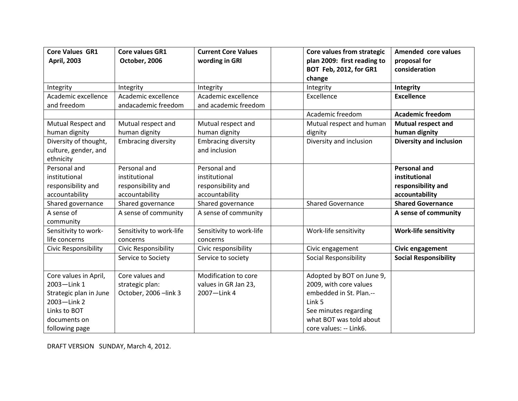| <b>Core Values GR1</b> | <b>Core values GR1</b>      | <b>Current Core Values</b> | Core values from strategic    | Amended core values            |
|------------------------|-----------------------------|----------------------------|-------------------------------|--------------------------------|
| <b>April, 2003</b>     | October, 2006               | wording in GRI             | plan 2009: first reading to   | proposal for                   |
|                        |                             |                            | <b>BOT Feb, 2012, for GR1</b> | consideration                  |
|                        |                             |                            | change                        |                                |
| Integrity              | Integrity                   | Integrity                  | Integrity                     | Integrity                      |
| Academic excellence    | Academic excellence         | Academic excellence        | Excellence                    | <b>Excellence</b>              |
| and freedom            | andacademic freedom         | and academic freedom       |                               |                                |
|                        |                             |                            | Academic freedom              | <b>Academic freedom</b>        |
| Mutual Respect and     | Mutual respect and          | Mutual respect and         | Mutual respect and human      | <b>Mutual respect and</b>      |
| human dignity          | human dignity               | human dignity              | dignity                       | human dignity                  |
| Diversity of thought,  | <b>Embracing diversity</b>  | <b>Embracing diversity</b> | Diversity and inclusion       | <b>Diversity and inclusion</b> |
| culture, gender, and   |                             | and inclusion              |                               |                                |
| ethnicity              |                             |                            |                               |                                |
| Personal and           | Personal and                | Personal and               |                               | <b>Personal and</b>            |
| institutional          | institutional               | institutional              |                               | institutional                  |
| responsibility and     | responsibility and          | responsibility and         |                               | responsibility and             |
| accountability         | accountability              | accountability             |                               | accountability                 |
| Shared governance      | Shared governance           | Shared governance          | <b>Shared Governance</b>      | <b>Shared Governance</b>       |
| A sense of             | A sense of community        | A sense of community       |                               | A sense of community           |
| community              |                             |                            |                               |                                |
| Sensitivity to work-   | Sensitivity to work-life    | Sensitivity to work-life   | Work-life sensitivity         | <b>Work-life sensitivity</b>   |
| life concerns          | concerns                    | concerns                   |                               |                                |
| Civic Responsibility   | <b>Civic Responsibility</b> | Civic responsibility       | Civic engagement              | Civic engagement               |
|                        | Service to Society          | Service to society         | Social Responsibility         | <b>Social Responsibility</b>   |
|                        |                             |                            |                               |                                |
| Core values in April,  | Core values and             | Modification to core       | Adopted by BOT on June 9,     |                                |
| 2003-Link 1            | strategic plan:             | values in GR Jan 23,       | 2009, with core values        |                                |
| Strategic plan in June | October, 2006 - link 3      | 2007-Link 4                | embedded in St. Plan.--       |                                |
| 2003-Link 2            |                             |                            | Link 5                        |                                |
| Links to BOT           |                             |                            | See minutes regarding         |                                |
| documents on           |                             |                            | what BOT was told about       |                                |
| following page         |                             |                            | core values: -- Link6.        |                                |

DRAFT VERSION SUNDAY, March 4, 2012.